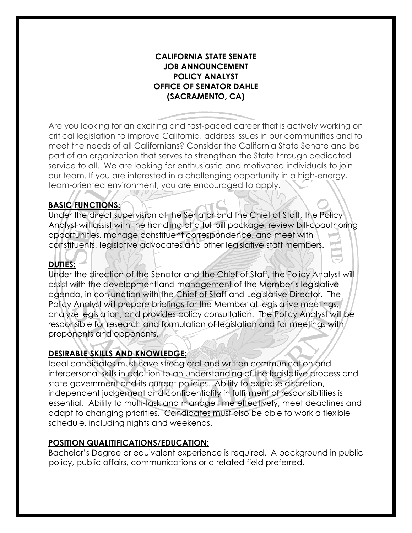#### **CALIFORNIA STATE SENATE JOB ANNOUNCEMENT POLICY ANALYST OFFICE OF SENATOR DAHLE (SACRAMENTO, CA)**

 critical legislation to improve California, address issues in our communities and to our team. If you are interested in a challenging opportunity in a high-energy, team-oriented environment, you are encouraged to apply. Are you looking for an exciting and fast-paced career that is actively working on meet the needs of all Californians? Consider the California State Senate and be part of an organization that serves to strengthen the State through dedicated service to all. We are looking for enthusiastic and motivated individuals to join

## **BASIC FUNCTIONS:**

 Under the direct supervision of the Senator and the Chief of Staff, the Policy Analyst will assist with the handling of a full bill package, review bill-coauthoring opportunities, manage constituent correspondence, and meet with constituents, legislative advocates and other legislative staff members.

## **DUTIES:**

Under the direction of the Senator and the Chief of Staff, the Policy Analyst will assist with the development and management of the Member's legislative agenda, in conjunction with the Chief of Staff and Legislative Director. The Policy Analyst will prepare briefings for the Member at legislative meetings, analyze legislation, and provides policy consultation. The Policy Analyst will be responsible for research and formulation of legislation and for meetings with proponents and opponents.

#### **DESIRABLE SKILLS AND KNOWLEDGE:**

 Ideal candidates must have strong oral and written communication and interpersonal skills in addition to an understanding of the legislative process and state government and its current policies. Ability to exercise discretion, independent judgement and confidentiality in fulfillment of responsibilities is essential. Ability to multi-task and manage time effectively, meet deadlines and adapt to changing priorities. Candidates must also be able to work a flexible schedule, including nights and weekends.

#### **POSITION QUALITIFICATIONS/EDUCATION:**

Bachelor's Degree or equivalent experience is required. A background in public policy, public affairs, communications or a related field preferred.